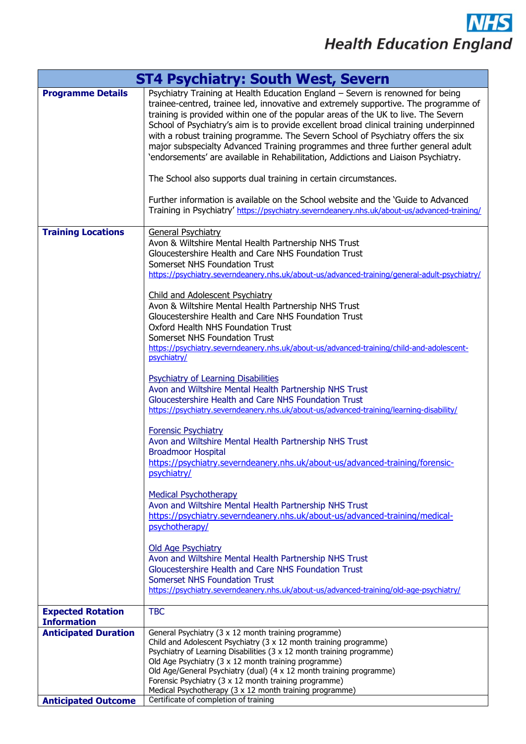**NHS Health Education England** 

| <b>ST4 Psychiatry: South West, Severn</b>                                       |                                                                                                                                                                                                                                                                                                                                                                                                                                                                                                                                                                                                                                                                                                                                                                                                                                                                                                                                                                                                                                                                                                                                                                                                                                                                                                                                                                                                                                                                                                                                                                     |
|---------------------------------------------------------------------------------|---------------------------------------------------------------------------------------------------------------------------------------------------------------------------------------------------------------------------------------------------------------------------------------------------------------------------------------------------------------------------------------------------------------------------------------------------------------------------------------------------------------------------------------------------------------------------------------------------------------------------------------------------------------------------------------------------------------------------------------------------------------------------------------------------------------------------------------------------------------------------------------------------------------------------------------------------------------------------------------------------------------------------------------------------------------------------------------------------------------------------------------------------------------------------------------------------------------------------------------------------------------------------------------------------------------------------------------------------------------------------------------------------------------------------------------------------------------------------------------------------------------------------------------------------------------------|
| <b>Programme Details</b>                                                        | Psychiatry Training at Health Education England - Severn is renowned for being<br>trainee-centred, trainee led, innovative and extremely supportive. The programme of<br>training is provided within one of the popular areas of the UK to live. The Severn<br>School of Psychiatry's aim is to provide excellent broad clinical training underpinned<br>with a robust training programme. The Severn School of Psychiatry offers the six<br>major subspecialty Advanced Training programmes and three further general adult<br>'endorsements' are available in Rehabilitation, Addictions and Liaison Psychiatry.<br>The School also supports dual training in certain circumstances.<br>Further information is available on the School website and the 'Guide to Advanced                                                                                                                                                                                                                                                                                                                                                                                                                                                                                                                                                                                                                                                                                                                                                                                         |
|                                                                                 | Training in Psychiatry' https://psychiatry.severndeanery.nhs.uk/about-us/advanced-training/                                                                                                                                                                                                                                                                                                                                                                                                                                                                                                                                                                                                                                                                                                                                                                                                                                                                                                                                                                                                                                                                                                                                                                                                                                                                                                                                                                                                                                                                         |
| <b>Training Locations</b>                                                       | General Psychiatry<br>Avon & Wiltshire Mental Health Partnership NHS Trust<br>Gloucestershire Health and Care NHS Foundation Trust<br>Somerset NHS Foundation Trust<br>https://psychiatry.severndeanery.nhs.uk/about-us/advanced-training/general-adult-psychiatry/<br>Child and Adolescent Psychiatry<br>Avon & Wiltshire Mental Health Partnership NHS Trust<br>Gloucestershire Health and Care NHS Foundation Trust<br>Oxford Health NHS Foundation Trust<br>Somerset NHS Foundation Trust<br>https://psychiatry.severndeanery.nhs.uk/about-us/advanced-training/child-and-adolescent-<br>psychiatry/<br><b>Psychiatry of Learning Disabilities</b><br>Avon and Wiltshire Mental Health Partnership NHS Trust<br>Gloucestershire Health and Care NHS Foundation Trust<br>https://psychiatry.severndeanery.nhs.uk/about-us/advanced-training/learning-disability/<br><b>Forensic Psychiatry</b><br>Avon and Wiltshire Mental Health Partnership NHS Trust<br><b>Broadmoor Hospital</b><br>https://psychiatry.severndeanery.nhs.uk/about-us/advanced-training/forensic-<br>psychiatry/<br><b>Medical Psychotherapy</b><br>Avon and Wiltshire Mental Health Partnership NHS Trust<br>https://psychiatry.severndeanery.nhs.uk/about-us/advanced-training/medical-<br>psychotherapy/<br><b>Old Age Psychiatry</b><br>Avon and Wiltshire Mental Health Partnership NHS Trust<br>Gloucestershire Health and Care NHS Foundation Trust<br><b>Somerset NHS Foundation Trust</b><br>https://psychiatry.severndeanery.nhs.uk/about-us/advanced-training/old-age-psychiatry/ |
| <b>Expected Rotation</b>                                                        | <b>TBC</b>                                                                                                                                                                                                                                                                                                                                                                                                                                                                                                                                                                                                                                                                                                                                                                                                                                                                                                                                                                                                                                                                                                                                                                                                                                                                                                                                                                                                                                                                                                                                                          |
| <b>Information</b><br><b>Anticipated Duration</b><br><b>Anticipated Outcome</b> | General Psychiatry (3 x 12 month training programme)<br>Child and Adolescent Psychiatry (3 x 12 month training programme)<br>Psychiatry of Learning Disabilities (3 x 12 month training programme)<br>Old Age Psychiatry (3 x 12 month training programme)<br>Old Age/General Psychiatry (dual) (4 x 12 month training programme)<br>Forensic Psychiatry (3 x 12 month training programme)<br>Medical Psychotherapy (3 x 12 month training programme)<br>Certificate of completion of training                                                                                                                                                                                                                                                                                                                                                                                                                                                                                                                                                                                                                                                                                                                                                                                                                                                                                                                                                                                                                                                                      |
|                                                                                 |                                                                                                                                                                                                                                                                                                                                                                                                                                                                                                                                                                                                                                                                                                                                                                                                                                                                                                                                                                                                                                                                                                                                                                                                                                                                                                                                                                                                                                                                                                                                                                     |